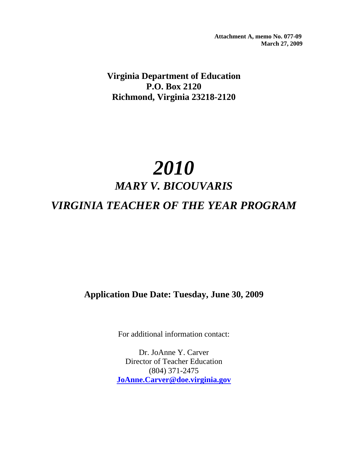**Attachment A, memo No. 077-09 March 27, 2009**

**Virginia Department of Education P.O. Box 2120 Richmond, Virginia 23218-2120** 

# *2010 MARY V. BICOUVARIS VIRGINIA TEACHER OF THE YEAR PROGRAM*

## **Application Due Date: Tuesday, June 30, 2009**

For additional information contact:

Dr. JoAnne Y. Carver Director of Teacher Education (804) 371-2475 **JoAnne.Carver@doe.virginia.gov**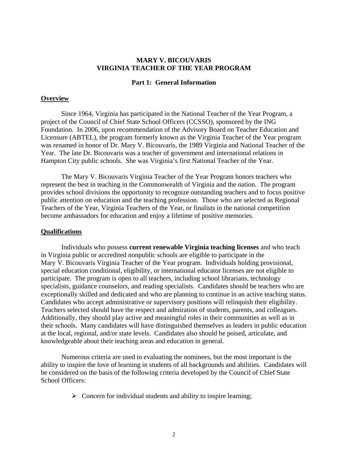#### **MARY V. BICOUVARIS VIRGINIA TEACHER OF THE YEAR PROGRAM**

#### **Part 1: General Information**

#### **Overview**

Since 1964, Virginia has participated in the National Teacher of the Year Program, a project of the Council of Chief State School Officers (CCSSO), sponsored by the ING Foundation. In 2006, upon recommendation of the Advisory Board on Teacher Education and Licensure (ABTEL), the program formerly known as the Virginia Teacher of the Year program was renamed in honor of Dr. Mary V. Bicouvaris, the 1989 Virginia and National Teacher of the Year. The late Dr. Bicouvaris was a teacher of government and international relations in Hampton City public schools. She was Virginia's first National Teacher of the Year.

The Mary V. Bicouvaris Virginia Teacher of the Year Program honors teachers who represent the best in teaching in the Commonwealth of Virginia and the nation. The program provides school divisions the opportunity to recognize outstanding teachers and to focus positive public attention on education and the teaching profession. Those who are selected as Regional Teachers of the Year, Virginia Teachers of the Year, or finalists in the national competition become ambassadors for education and enjoy a lifetime of positive memories.

#### **Qualifications**

Individuals who possess **current renewable Virginia teaching licenses** and who teach in Virginia public or accredited nonpublic schools are eligible to participate in the Mary V. Bicouvaris Virginia Teacher of the Year program. Individuals holding provisional, special education conditional, eligibility, or international educator licenses are not eligible to participate. The program is open to all teachers, including school librarians, technology specialists, guidance counselors, and reading specialists. Candidates should be teachers who are exceptionally skilled and dedicated and who are planning to continue in an active teaching status. Candidates who accept administrative or supervisory positions will relinquish their eligibility. Teachers selected should have the respect and admiration of students, parents, and colleagues. Additionally, they should play active and meaningful roles in their communities as well as in their schools. Many candidates will have distinguished themselves as leaders in public education at the local, regional, and/or state levels. Candidates also should be poised, articulate, and knowledgeable about their teaching areas and education in general.

Numerous criteria are used in evaluating the nominees, but the most important is the ability to inspire the love of learning in students of all backgrounds and abilities. Candidates will be considered on the basis of the following criteria developed by the Council of Chief State School Officers:

 $\triangleright$  Concern for individual students and ability to inspire learning;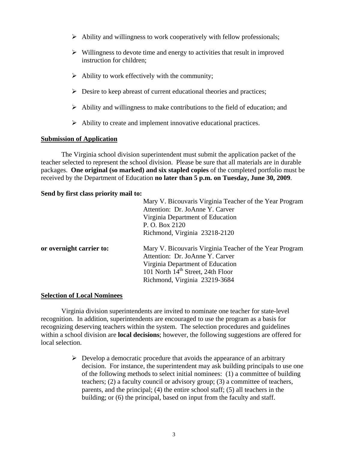- $\triangleright$  Ability and willingness to work cooperatively with fellow professionals;
- $\triangleright$  Willingness to devote time and energy to activities that result in improved instruction for children;
- $\triangleright$  Ability to work effectively with the community;
- $\triangleright$  Desire to keep abreast of current educational theories and practices;
- $\triangleright$  Ability and willingness to make contributions to the field of education; and
- $\triangleright$  Ability to create and implement innovative educational practices.

## **Submission of Application**

The Virginia school division superintendent must submit the application packet of the teacher selected to represent the school division. Please be sure that all materials are in durable packages. **One original (so marked) and six stapled copies** of the completed portfolio must be received by the Department of Education **no later than 5 p.m. on Tuesday, June 30, 2009**.

## **Send by first class priority mail to:**

| Mary V. Bicouvaris Virginia Teacher of the Year Program                                                                                                                                                          |
|------------------------------------------------------------------------------------------------------------------------------------------------------------------------------------------------------------------|
| Attention: Dr. JoAnne Y. Carver                                                                                                                                                                                  |
| Virginia Department of Education                                                                                                                                                                                 |
| P. O. Box 2120                                                                                                                                                                                                   |
| Richmond, Virginia 23218-2120                                                                                                                                                                                    |
| Mary V. Bicouvaris Virginia Teacher of the Year Program<br>Attention: Dr. JoAnne Y. Carver<br>Virginia Department of Education<br>101 North 14 <sup>th</sup> Street, 24th Floor<br>Richmond, Virginia 23219-3684 |
|                                                                                                                                                                                                                  |

#### **Selection of Local Nominees**

Virginia division superintendents are invited to nominate one teacher for state-level recognition. In addition, superintendents are encouraged to use the program as a basis for recognizing deserving teachers within the system. The selection procedures and guidelines within a school division are **local decisions**; however, the following suggestions are offered for local selection.

> $\triangleright$  Develop a democratic procedure that avoids the appearance of an arbitrary decision. For instance, the superintendent may ask building principals to use one of the following methods to select initial nominees: (1) a committee of building teachers; (2) a faculty council or advisory group; (3) a committee of teachers, parents, and the principal; (4) the entire school staff; (5) all teachers in the building; or (6) the principal, based on input from the faculty and staff.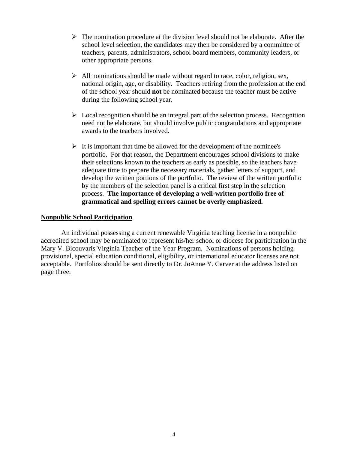- $\triangleright$  The nomination procedure at the division level should not be elaborate. After the school level selection, the candidates may then be considered by a committee of teachers, parents, administrators, school board members, community leaders, or other appropriate persons.
- $\triangleright$  All nominations should be made without regard to race, color, religion, sex, national origin, age, or disability. Teachers retiring from the profession at the end of the school year should **not** be nominated because the teacher must be active during the following school year.
- $\triangleright$  Local recognition should be an integral part of the selection process. Recognition need not be elaborate, but should involve public congratulations and appropriate awards to the teachers involved.
- $\triangleright$  It is important that time be allowed for the development of the nominee's portfolio. For that reason, the Department encourages school divisions to make their selections known to the teachers as early as possible, so the teachers have adequate time to prepare the necessary materials, gather letters of support, and develop the written portions of the portfolio. The review of the written portfolio by the members of the selection panel is a critical first step in the selection process. **The importance of developing a well-written portfolio free of grammatical and spelling errors cannot be overly emphasized.**

## **Nonpublic School Participation**

An individual possessing a current renewable Virginia teaching license in a nonpublic accredited school may be nominated to represent his/her school or diocese for participation in the Mary V. Bicouvaris Virginia Teacher of the Year Program. Nominations of persons holding provisional, special education conditional, eligibility, or international educator licenses are not acceptable. Portfolios should be sent directly to Dr. JoAnne Y. Carver at the address listed on page three.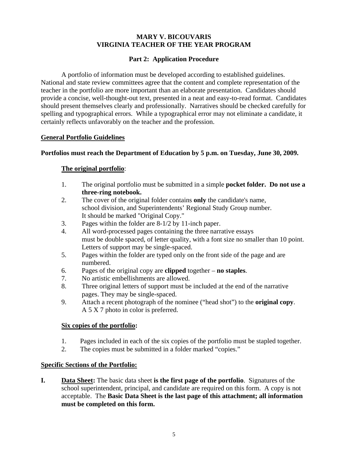## **MARY V. BICOUVARIS VIRGINIA TEACHER OF THE YEAR PROGRAM**

## **Part 2: Application Procedure**

A portfolio of information must be developed according to established guidelines. National and state review committees agree that the content and complete representation of the teacher in the portfolio are more important than an elaborate presentation. Candidates should provide a concise, well-thought-out text, presented in a neat and easy-to-read format. Candidates should present themselves clearly and professionally. Narratives should be checked carefully for spelling and typographical errors. While a typographical error may not eliminate a candidate, it certainly reflects unfavorably on the teacher and the profession.

## **General Portfolio Guidelines**

## **Portfolios must reach the Department of Education by 5 p.m. on Tuesday, June 30, 2009.**

## **The original portfolio**:

- 1. The original portfolio must be submitted in a simple **pocket folder. Do not use a three-ring notebook.**
- 2. The cover of the original folder contains **only** the candidate's name, school division, and Superintendents' Regional Study Group number. It should be marked "Original Copy."
- 3. Pages within the folder are 8-1/2 by 11-inch paper.
- 4. All word-processed pages containing the three narrative essays must be double spaced, of letter quality, with a font size no smaller than 10 point. Letters of support may be single-spaced.
- 5. Pages within the folder are typed only on the front side of the page and are numbered.
- 6. Pages of the original copy are **clipped** together **no staples**.
- 7. No artistic embellishments are allowed.
- 8. Three original letters of support must be included at the end of the narrative pages. They may be single-spaced.
- 9. Attach a recent photograph of the nominee ("head shot") to the **original copy**. A 5 X 7 photo in color is preferred.

## **Six copies of the portfolio:**

- 1. Pages included in each of the six copies of the portfolio must be stapled together.
- 2. The copies must be submitted in a folder marked "copies."

## **Specific Sections of the Portfolio:**

**I. Data Sheet:** The basic data sheet **is the first page of the portfolio**. Signatures of the school superintendent, principal, and candidate are required on this form. A copy is not acceptable. The **Basic Data Sheet is the last page of this attachment; all information must be completed on this form.**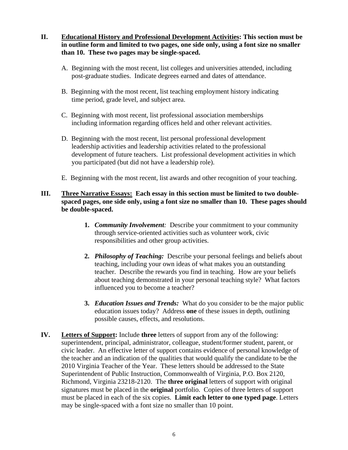- **II. Educational History and Professional Development Activities: This section must be in outline form and limited to two pages, one side only, using a font size no smaller than 10. These two pages may be single-spaced.** 
	- A. Beginning with the most recent, list colleges and universities attended, including post-graduate studies. Indicate degrees earned and dates of attendance.
	- B. Beginning with the most recent, list teaching employment history indicating time period, grade level, and subject area.
	- C. Beginning with most recent, list professional association memberships including information regarding offices held and other relevant activities.
	- D. Beginning with the most recent, list personal professional development leadership activities and leadership activities related to the professional development of future teachers. List professional development activities in which you participated (but did not have a leadership role).
	- E. Beginning with the most recent, list awards and other recognition of your teaching.

## **III. Three Narrative Essays: Each essay in this section must be limited to two doublespaced pages, one side only, using a font size no smaller than 10. These pages should be double-spaced.**

- **1.** *Community Involvement:* Describe your commitment to your community through service-oriented activities such as volunteer work, civic responsibilities and other group activities.
- **2.** *Philosophy of Teaching:* Describe your personal feelings and beliefs about teaching, including your own ideas of what makes you an outstanding teacher. Describe the rewards you find in teaching. How are your beliefs about teaching demonstrated in your personal teaching style? What factors influenced you to become a teacher?
- **3.** *Education Issues and Trends:* What do you consider to be the major public education issues today? Address **one** of these issues in depth, outlining possible causes, effects, and resolutions.
- **IV. Letters of Support:** Include **three** letters of support from any of the following: superintendent, principal, administrator, colleague, student/former student, parent, or civic leader. An effective letter of support contains evidence of personal knowledge of the teacher and an indication of the qualities that would qualify the candidate to be the 2010 Virginia Teacher of the Year. These letters should be addressed to the State Superintendent of Public Instruction, Commonwealth of Virginia, P.O. Box 2120, Richmond, Virginia 23218-2120. The **three original** letters of support with original signatures must be placed in the **original** portfolio. Copies of three letters of support must be placed in each of the six copies. **Limit each letter to one typed page**. Letters may be single-spaced with a font size no smaller than 10 point.